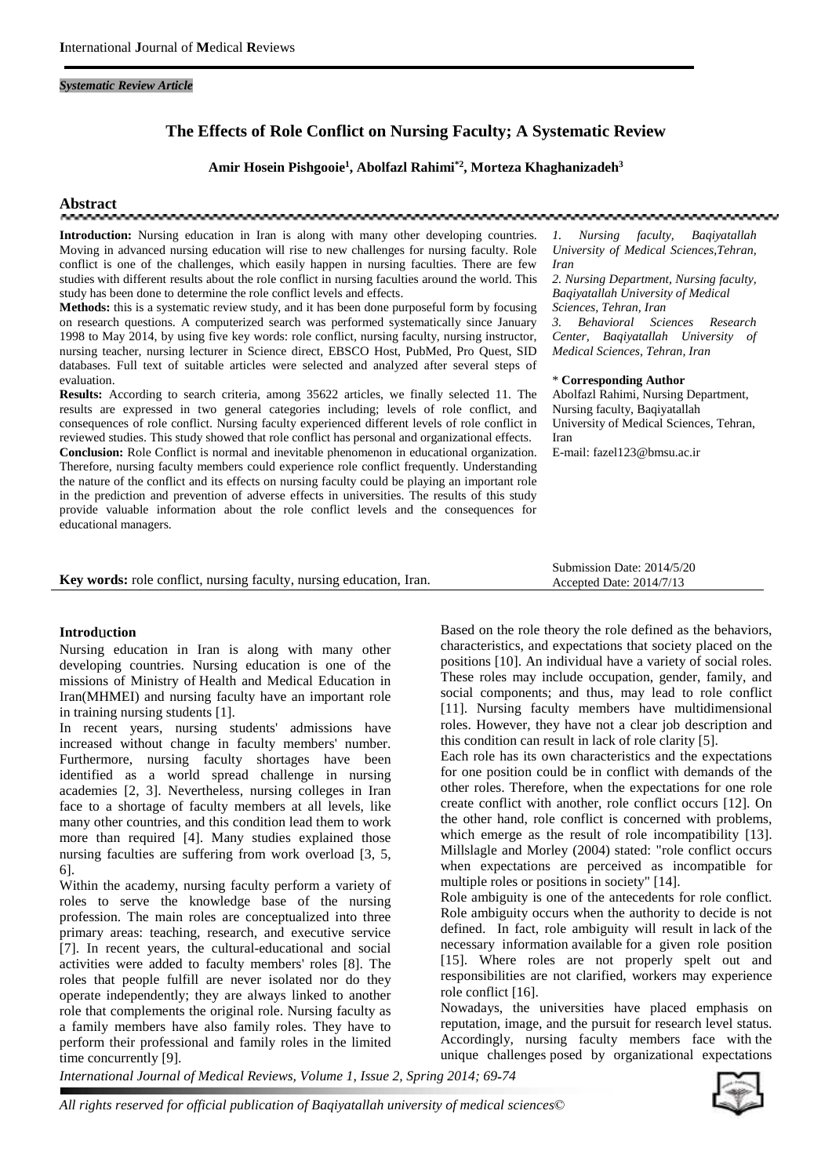#### *Systematic Review Article*

# **The Effects of Role Conflict on Nursing Faculty; A Systematic Review**

## **Amir Hosein Pishgooie<sup>1</sup> , Abolfazl Rahimi\*2 , Morteza Khaghanizadeh<sup>3</sup>**

# **Abstract**

**Introduction:** Nursing education in Iran is along with many other developing countries. 1. Moving in advanced nursing education will rise to new challenges for nursing faculty. Role conflict is one of the challenges, which easily happen in nursing faculties. There are few studies with different results about the role conflict in nursing faculties around the world. This study has been done to determine the role conflict levels and effects.

**Methods:** this is a systematic review study, and it has been done purposeful form by focusing on research questions. A computerized search was performed systematically since January 1998 to May 2014, by using five key words: role conflict, nursing faculty, nursing instructor, nursing teacher, nursing lecturer in Science direct, EBSCO Host, PubMed, Pro Quest, SID databases. Full text of suitable articles were selected and analyzed after several steps of evaluation.

**Results:** According to search criteria, among 35622 articles, we finally selected 11. The results are expressed in two general categories including; levels of role conflict, and consequences of role conflict. Nursing faculty experienced different levels of role conflict in reviewed studies. This study showed that role conflict has personal and organizational effects. **Conclusion:** Role Conflict is normal and inevitable phenomenon in educational organization. Therefore, nursing faculty members could experience role conflict frequently. Understanding the nature of the conflict and its effects on nursing faculty could be playing an important role in the prediction and prevention of adverse effects in universities. The results of this study provide valuable information about the role conflict levels and the consequences for educational managers.

*1. Nursing faculty, Baqiyatallah University of Medical Sciences,Tehran, Iran*

*2. Nursing Department, Nursing faculty, Baqiyatallah University of Medical Sciences, Tehran, Iran 3. Behavioral Sciences Research Center, Baqiyatallah University of Medical Sciences, Tehran, Iran*

#### \* **Corresponding Author**

Abolfazl Rahimi, Nursing Department, Nursing faculty, Baqiyatallah University of Medical Sciences, Tehran, Iran

E-mail: fazel123@bmsu.ac.ir

Submission Date: 2014/5/20 Accepted Date: 2014/7/13

| Key words: role conflict, nursing faculty, nursing education, Iran. |  |
|---------------------------------------------------------------------|--|
|---------------------------------------------------------------------|--|

#### **Introd**u**ction**

Nursing education in Iran is along with many other developing countries. Nursing education is one of the missions of Ministry of Health and Medical Education in Iran(MHMEI) and nursing faculty have an important role in training nursing students [1].

In recent years, nursing students' admissions have increased without change in faculty members' number. Furthermore, nursing faculty shortages have been identified as a world spread challenge in nursing academies [2, 3]. Nevertheless, nursing colleges in Iran face to a shortage of faculty members at all levels, like many other countries, and this condition lead them to work more than required [4]. Many studies explained those nursing faculties are suffering from work overload [3, 5, 6].

Within the academy, nursing faculty perform a variety of roles to serve the knowledge base of the nursing profession. The main roles are conceptualized into three primary areas: teaching, research, and executive service [7]. In recent years, the cultural-educational and social activities were added to faculty members' roles [8]. The roles that people fulfill are never isolated nor do they operate independently; they are always linked to another role that complements the original role. Nursing faculty as a family members have also family roles. They have to perform their professional and family roles in the limited time concurrently [9].

Based on the role theory the role defined as the behaviors, characteristics, and expectations that society placed on the positions [10]. An individual have a variety of social roles. These roles may include occupation, gender, family, and social components; and thus, may lead to role conflict [11]. Nursing faculty members have multidimensional roles. However, they have not a clear job description and this condition can result in lack of role clarity [5].

Each role has its own characteristics and the expectations for one position could be in conflict with demands of the other roles. Therefore, when the expectations for one role create conflict with another, role conflict occurs [12]. On the other hand, role conflict is concerned with problems, which emerge as the result of role incompatibility [13]. Millslagle and Morley (2004) stated: "role conflict occurs when expectations are perceived as incompatible for multiple roles or positions in society" [14].

Role ambiguity is one of the antecedents for role conflict. Role ambiguity occurs when the authority to decide is not defined. In fact, role ambiguity will result in lack of the necessary information available for a given role position [15]. Where roles are not properly spelt out and responsibilities are not clarified, workers may experience role conflict [16].

Nowadays, the universities have placed emphasis on reputation, image, and the pursuit for research level status. Accordingly, nursing faculty members face with the unique challenges posed by organizational expectations

*International Journal of Medical Reviews, Volume 1, Issue 2, Spring 2014; 69-74*



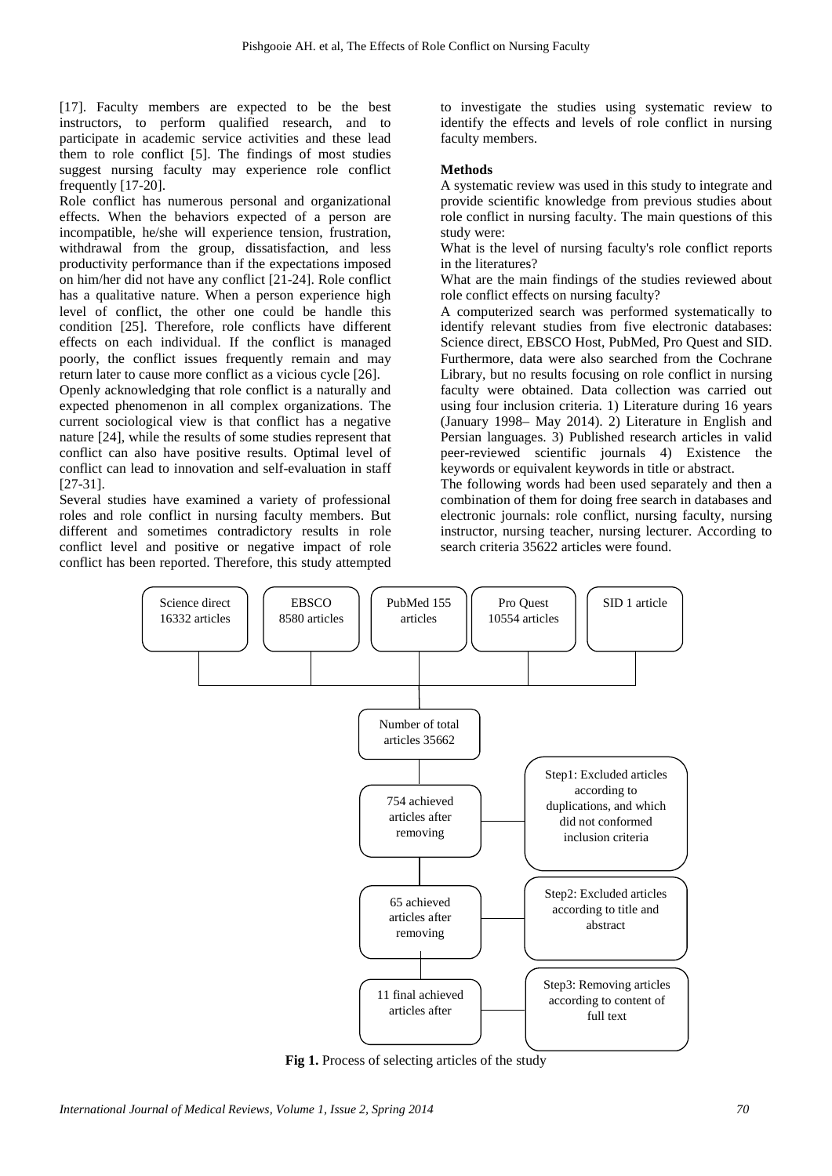[17]. Faculty members are expected to be the best instructors, to perform qualified research, and to participate in academic service activities and these lead them to role conflict [5]. The findings of most studies suggest nursing faculty may experience role conflict frequently [17-20].

Role conflict has numerous personal and organizational effects. When the behaviors expected of a person are incompatible, he/she will experience tension, frustration, withdrawal from the group, dissatisfaction, and less productivity performance than if the expectations imposed on him/her did not have any conflict [21-24]. Role conflict has a qualitative nature. When a person experience high level of conflict, the other one could be handle this condition [25]. Therefore, role conflicts have different effects on each individual. If the conflict is managed poorly, the conflict issues frequently remain and may return later to cause more conflict as a vicious cycle [26].

Openly acknowledging that role conflict is a naturally and expected phenomenon in all complex organizations. The current sociological view is that conflict has a negative nature [24], while the results of some studies represent that conflict can also have positive results. Optimal level of conflict can lead to innovation and self-evaluation in staff [27-31].

Several studies have examined a variety of professional roles and role conflict in nursing faculty members. But different and sometimes contradictory results in role conflict level and positive or negative impact of role conflict has been reported. Therefore, this study attempted to investigate the studies using systematic review to identify the effects and levels of role conflict in nursing faculty members.

#### **Methods**

A systematic review was used in this study to integrate and provide scientific knowledge from previous studies about role conflict in nursing faculty. The main questions of this study were:

What is the level of nursing faculty's role conflict reports in the literatures?

What are the main findings of the studies reviewed about role conflict effects on nursing faculty?

A computerized search was performed systematically to identify relevant studies from five electronic databases: Science direct, EBSCO Host, PubMed, Pro Quest and SID. Furthermore, data were also searched from the Cochrane Library, but no results focusing on role conflict in nursing faculty were obtained. Data collection was carried out using four inclusion criteria. 1) Literature during 16 years (January 1998– May 2014). 2) Literature in English and Persian languages. 3) Published research articles in valid peer-reviewed scientific journals 4) Existence the keywords or equivalent keywords in title or abstract.

The following words had been used separately and then a combination of them for doing free search in databases and electronic journals: role conflict, nursing faculty, nursing instructor, nursing teacher, nursing lecturer. According to search criteria 35622 articles were found.



**Fig 1.** Process of selecting articles of the study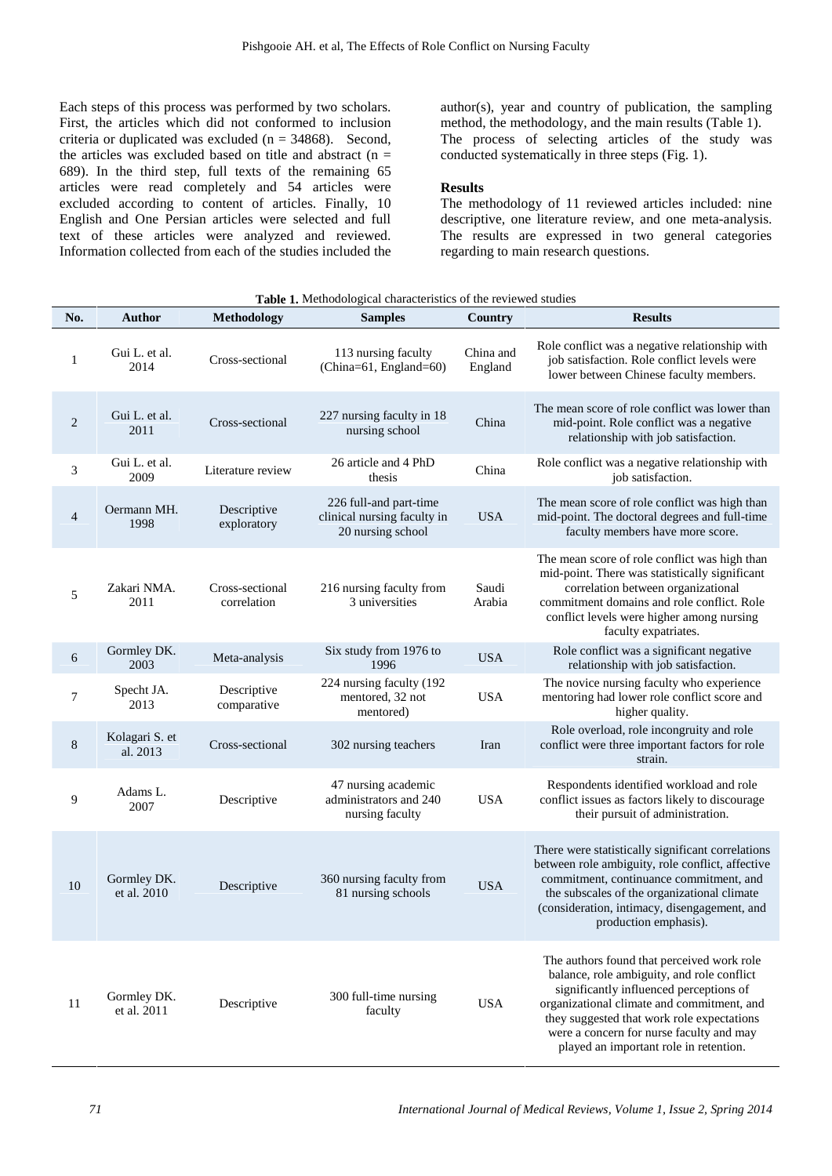Each steps of this process was performed by two scholars. First, the articles which did not conformed to inclusion criteria or duplicated was excluded ( $n = 34868$ ). Second, the articles was excluded based on title and abstract (n = 689). In the third step, full texts of the remaining 65 articles were read completely and 54 articles were excluded according to content of articles. Finally, 10 English and One Persian articles were selected and full text of these articles were analyzed and reviewed. Information collected from each of the studies included the

author(s), year and country of publication, the sampling method, the methodology, and the main results (Table 1). The process of selecting articles of the study was conducted systematically in three steps (Fig. 1).

## **Results**

The methodology of 11 reviewed articles included: nine descriptive, one literature review, and one meta-analysis. The results are expressed in two general categories regarding to main research questions.

| No.          | <b>Author</b>              | Methodology                    | Table 1. Methodological characteristics of the reviewed studies<br><b>Samples</b> | Country              | <b>Results</b>                                                                                                                                                                                                                                                                                                        |
|--------------|----------------------------|--------------------------------|-----------------------------------------------------------------------------------|----------------------|-----------------------------------------------------------------------------------------------------------------------------------------------------------------------------------------------------------------------------------------------------------------------------------------------------------------------|
| $\mathbf{1}$ | Gui L. et al.<br>2014      | Cross-sectional                | 113 nursing faculty<br>(China=61, England=60)                                     | China and<br>England | Role conflict was a negative relationship with<br>job satisfaction. Role conflict levels were<br>lower between Chinese faculty members.                                                                                                                                                                               |
| 2            | Gui L. et al.<br>2011      | Cross-sectional                | 227 nursing faculty in 18<br>nursing school                                       | China                | The mean score of role conflict was lower than<br>mid-point. Role conflict was a negative<br>relationship with job satisfaction.                                                                                                                                                                                      |
| 3            | Gui L. et al.<br>2009      | Literature review              | 26 article and 4 PhD<br>thesis                                                    | China                | Role conflict was a negative relationship with<br>job satisfaction.                                                                                                                                                                                                                                                   |
| 4            | Oermann MH.<br>1998        | Descriptive<br>exploratory     | 226 full-and part-time<br>clinical nursing faculty in<br>20 nursing school        | <b>USA</b>           | The mean score of role conflict was high than<br>mid-point. The doctoral degrees and full-time<br>faculty members have more score.                                                                                                                                                                                    |
| 5            | Zakari NMA.<br>2011        | Cross-sectional<br>correlation | 216 nursing faculty from<br>3 universities                                        | Saudi<br>Arabia      | The mean score of role conflict was high than<br>mid-point. There was statistically significant<br>correlation between organizational<br>commitment domains and role conflict. Role<br>conflict levels were higher among nursing<br>faculty expatriates.                                                              |
| 6            | Gormley DK.<br>2003        | Meta-analysis                  | Six study from 1976 to<br>1996                                                    | <b>USA</b>           | Role conflict was a significant negative<br>relationship with job satisfaction.                                                                                                                                                                                                                                       |
| 7            | Specht JA.<br>2013         | Descriptive<br>comparative     | 224 nursing faculty (192<br>mentored, 32 not<br>mentored)                         | <b>USA</b>           | The novice nursing faculty who experience<br>mentoring had lower role conflict score and<br>higher quality.                                                                                                                                                                                                           |
| $8\,$        | Kolagari S. et<br>al. 2013 | Cross-sectional                | 302 nursing teachers                                                              | Iran                 | Role overload, role incongruity and role<br>conflict were three important factors for role<br>strain.                                                                                                                                                                                                                 |
| 9            | Adams L.<br>2007           | Descriptive                    | 47 nursing academic<br>administrators and 240<br>nursing faculty                  | <b>USA</b>           | Respondents identified workload and role<br>conflict issues as factors likely to discourage<br>their pursuit of administration.                                                                                                                                                                                       |
| 10           | Gormley DK.<br>et al. 2010 | Descriptive                    | 360 nursing faculty from<br>81 nursing schools                                    | <b>USA</b>           | There were statistically significant correlations<br>between role ambiguity, role conflict, affective<br>commitment, continuance commitment, and<br>the subscales of the organizational climate<br>(consideration, intimacy, disengagement, and<br>production emphasis).                                              |
| 11           | Gormley DK.<br>et al. 2011 | Descriptive                    | 300 full-time nursing<br>faculty                                                  | <b>USA</b>           | The authors found that perceived work role<br>balance, role ambiguity, and role conflict<br>significantly influenced perceptions of<br>organizational climate and commitment, and<br>they suggested that work role expectations<br>were a concern for nurse faculty and may<br>played an important role in retention. |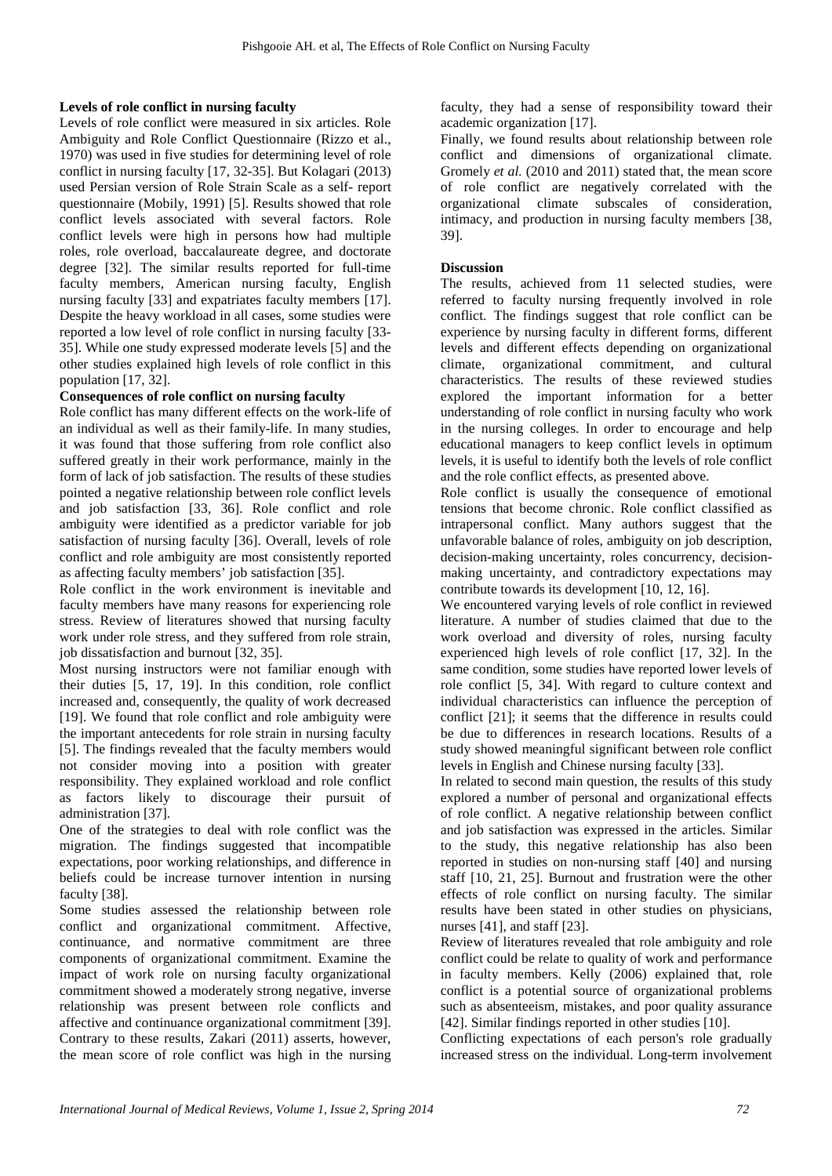## **Levels of role conflict in nursing faculty**

Levels of role conflict were measured in six articles. Role Ambiguity and Role Conflict Questionnaire (Rizzo et al., 1970) was used in five studies for determining level of role conflict in nursing faculty [17, 32-35]. But Kolagari (2013) used Persian version of Role Strain Scale as a self- report questionnaire (Mobily, 1991) [5]. Results showed that role conflict levels associated with several factors. Role conflict levels were high in persons how had multiple roles, role overload, baccalaureate degree, and doctorate degree [32]. The similar results reported for full-time faculty members, American nursing faculty, English nursing faculty [33] and expatriates faculty members [17]. Despite the heavy workload in all cases, some studies were reported a low level of role conflict in nursing faculty [33- 35]. While one study expressed moderate levels [5] and the other studies explained high levels of role conflict in this population [17, 32].

## **Consequences of role conflict on nursing faculty**

Role conflict has many different effects on the work-life of an individual as well as their family-life. In many studies, it was found that those suffering from role conflict also suffered greatly in their work performance, mainly in the form of lack of job satisfaction. The results of these studies pointed a negative relationship between role conflict levels and job satisfaction [33, 36]. Role conflict and role ambiguity were identified as a predictor variable for job satisfaction of nursing faculty [36]. Overall, levels of role conflict and role ambiguity are most consistently reported as affecting faculty members' job satisfaction [35].

Role conflict in the work environment is inevitable and faculty members have many reasons for experiencing role stress. Review of literatures showed that nursing faculty work under role stress, and they suffered from role strain, job dissatisfaction and burnout [32, 35].

Most nursing instructors were not familiar enough with their duties [5, 17, 19]. In this condition, role conflict increased and, consequently, the quality of work decreased [19]. We found that role conflict and role ambiguity were the important antecedents for role strain in nursing faculty [5]. The findings revealed that the faculty members would not consider moving into a position with greater responsibility. They explained workload and role conflict as factors likely to discourage their pursuit of administration [37].

One of the strategies to deal with role conflict was the migration. The findings suggested that incompatible expectations, poor working relationships, and difference in beliefs could be increase turnover intention in nursing faculty [38].

Some studies assessed the relationship between role conflict and organizational commitment. Affective, continuance, and normative commitment are three components of organizational commitment. Examine the impact of work role on nursing faculty organizational commitment showed a moderately strong negative, inverse relationship was present between role conflicts and affective and continuance organizational commitment [39]. Contrary to these results, Zakari (2011) asserts, however, the mean score of role conflict was high in the nursing

faculty, they had a sense of responsibility toward their academic organization [17].

Finally, we found results about relationship between role conflict and dimensions of organizational climate. Gromely *et al.* (2010 and 2011) stated that, the mean score of role conflict are negatively correlated with the organizational climate subscales of consideration, intimacy, and production in nursing faculty members [38, 39].

## **Discussion**

The results, achieved from 11 selected studies, were referred to faculty nursing frequently involved in role conflict. The findings suggest that role conflict can be experience by nursing faculty in different forms, different levels and different effects depending on organizational climate, organizational commitment, and cultural characteristics. The results of these reviewed studies explored the important information for a better understanding of role conflict in nursing faculty who work in the nursing colleges. In order to encourage and help educational managers to keep conflict levels in optimum levels, it is useful to identify both the levels of role conflict and the role conflict effects, as presented above.

Role conflict is usually the consequence of emotional tensions that become chronic. Role conflict classified as intrapersonal conflict. Many authors suggest that the unfavorable balance of roles, ambiguity on job description, decision-making uncertainty, roles concurrency, decision making uncertainty, and contradictory expectations may contribute towards its development [10, 12, 16].

We encountered varying levels of role conflict in reviewed literature. A number of studies claimed that due to the work overload and diversity of roles, nursing faculty experienced high levels of role conflict [17, 32]. In the same condition, some studies have reported lower levels of role conflict [5, 34]. With regard to culture context and individual characteristics can influence the perception of conflict [21]; it seems that the difference in results could be due to differences in research locations. Results of a study showed meaningful significant between role conflict levels in English and Chinese nursing faculty [33].

In related to second main question, the results of this study explored a number of personal and organizational effects of role conflict. A negative relationship between conflict and job satisfaction was expressed in the articles. Similar to the study, this negative relationship has also been reported in studies on non-nursing staff [40] and nursing staff [10, 21, 25]. Burnout and frustration were the other effects of role conflict on nursing faculty. The similar results have been stated in other studies on physicians, nurses [41], and staff [23].

Review of literatures revealed that role ambiguity and role conflict could be relate to quality of work and performance in faculty members. Kelly (2006) explained that, role conflict is a potential source of organizational problems such as absenteeism, mistakes, and poor quality assurance [42]. Similar findings reported in other studies [10].

Conflicting expectations of each person's role gradually increased stress on the individual. Long-term involvement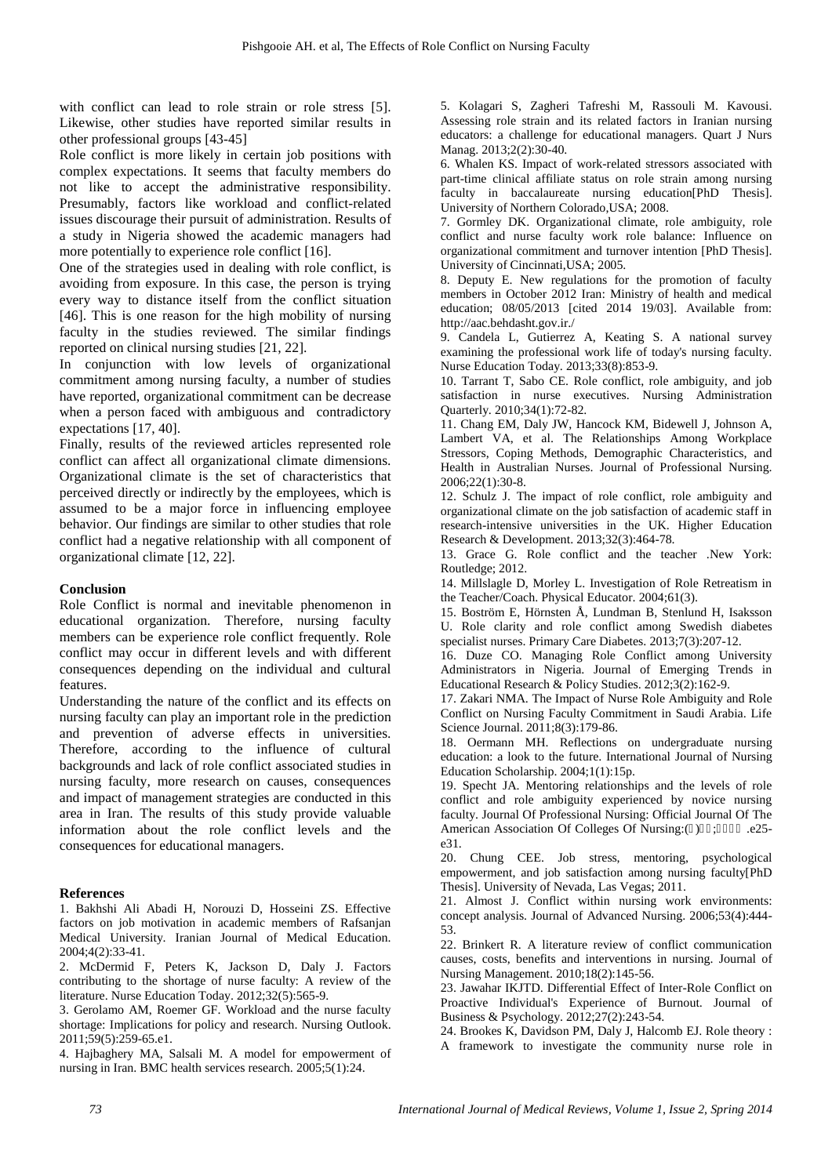with conflict can lead to role strain or role stress [5]. Likewise, other studies have reported similar results in other professional groups [43-45]

Role conflict is more likely in certain job positions with complex expectations. It seems that faculty members do not like to accept the administrative responsibility. Presumably, factors like workload and conflict-related issues discourage their pursuit of administration. Results of a study in Nigeria showed the academic managers had more potentially to experience role conflict [16].

One of the strategies used in dealing with role conflict, is avoiding from exposure. In this case, the person is trying every way to distance itself from the conflict situation [46]. This is one reason for the high mobility of nursing faculty in the studies reviewed. The similar findings reported on clinical nursing studies [21, 22].

In conjunction with low levels of organizational commitment among nursing faculty, a number of studies have reported, organizational commitment can be decrease when a person faced with ambiguous and contradictory expectations [17, 40].

Finally, results of the reviewed articles represented role conflict can affect all organizational climate dimensions. Organizational climate is the set of characteristics that perceived directly or indirectly by the employees, which is assumed to be a major force in influencing employee behavior. Our findings are similar to other studies that role conflict had a negative relationship with all component of organizational climate [12, 22].

#### **Conclusion**

Role Conflict is normal and inevitable phenomenon in educational organization. Therefore, nursing faculty members can be experience role conflict frequently. Role conflict may occur in different levels and with different consequences depending on the individual and cultural features.

Understanding the nature of the conflict and its effects on nursing faculty can play an important role in the prediction and prevention of adverse effects in universities. Therefore, according to the influence of cultural backgrounds and lack of role conflict associated studies in nursing faculty, more research on causes, consequences and impact of management strategies are conducted in this area in Iran. The results of this study provide valuable information about the role conflict levels and the consequences for educational managers.

#### **References**

1. Bakhshi Ali Abadi H, Norouzi D, Hosseini ZS. Effective factors on job motivation in academic members of Rafsanjan Medical University. Iranian Journal of Medical Education. 2004;4(2):33-41.

2. McDermid F, Peters K, Jackson D, Daly J. Factors contributing to the shortage of nurse faculty: A review of the literature. Nurse Education Today. 2012;32(5):565-9.

3. Gerolamo AM, Roemer GF. Workload and the nurse faculty shortage: Implications for policy and research. Nursing Outlook. 2011;59(5):259-65.e1.

4. Hajbaghery MA, Salsali M. A model for empowerment of nursing in Iran. BMC health services research. 2005;5(1):24.

5. Kolagari S, Zagheri Tafreshi M, Rassouli M. Kavousi. Assessing role strain and its related factors in Iranian nursing educators: a challenge for educational managers. Quart J Nurs Manag. 2013;2(2):30-40.

6. Whalen KS. Impact of work-related stressors associated with part-time clinical affiliate status on role strain among nursing faculty in baccalaureate nursing education[PhD Thesis]. University of Northern Colorado,USA; 2008.

7. Gormley DK. Organizational climate, role ambiguity, role conflict and nurse faculty work role balance: Influence on organizational commitment and turnover intention [PhD Thesis]. University of Cincinnati,USA; 2005.

8. Deputy E. New regulations for the promotion of faculty members in October 2012 Iran: Ministry of health and medical education; 08/05/2013 [cited 2014 19/03]. Available from: http://aac.behdasht.gov.ir./

9. Candela L, Gutierrez A, Keating S. A national survey examining the professional work life of today's nursing faculty. Nurse Education Today. 2013;33(8):853-9.

10. Tarrant T, Sabo CE. Role conflict, role ambiguity, and job satisfaction in nurse executives. Nursing Administration Quarterly. 2010;34(1):72-82.

11. Chang EM, Daly JW, Hancock KM, Bidewell J, Johnson A, Lambert VA, et al. The Relationships Among Workplace Stressors, Coping Methods, Demographic Characteristics, and Health in Australian Nurses. Journal of Professional Nursing. 2006;22(1):30-8.

12. Schulz J. The impact of role conflict, role ambiguity and organizational climate on the job satisfaction of academic staff in research-intensive universities in the UK. Higher Education Research & Development. 2013;32(3):464-78.

13. Grace G. Role conflict and the teacher .New York: Routledge; 2012.

14. Millslagle D, Morley L. Investigation of Role Retreatism in the Teacher/Coach. Physical Educator. 2004;61(3).

15. Boström E, Hörnsten Å, Lundman B, Stenlund H, Isaksson U. Role clarity and role conflict among Swedish diabetes specialist nurses. Primary Care Diabetes. 2013;7(3):207-12.

16. Duze CO. Managing Role Conflict among University Administrators in Nigeria. Journal of Emerging Trends in Educational Research & Policy Studies. 2012;3(2):162-9.

17. Zakari NMA. The Impact of Nurse Role Ambiguity and Role Conflict on Nursing Faculty Commitment in Saudi Arabia. Life Science Journal. 2011;8(3):179-86.

18. Oermann MH. Reflections on undergraduate nursing education: a look to the future. International Journal of Nursing Education Scholarship. 2004;1(1):15p.

19. Specht JA. Mentoring relationships and the levels of role conflict and role ambiguity experienced by novice nursing faculty. Journal Of Professional Nursing: Official Journal Of The American Association Of Colleges Of Nursing:( ) ; e25e31.

20. Chung CEE. Job stress, mentoring, psychological empowerment, and job satisfaction among nursing faculty[PhD Thesis]. University of Nevada, Las Vegas; 2011.

21. Almost J. Conflict within nursing work environments: concept analysis. Journal of Advanced Nursing. 2006;53(4):444- 53.

22. Brinkert R. A literature review of conflict communication causes, costs, benefits and interventions in nursing. Journal of Nursing Management. 2010;18(2):145-56.

23. Jawahar IKJTD. Differential Effect of Inter-Role Conflict on Proactive Individual's Experience of Burnout. Journal of Business & Psychology. 2012;27(2):243-54.

24. Brookes K, Davidson PM, Daly J, Halcomb EJ. Role theory : A framework to investigate the community nurse role in